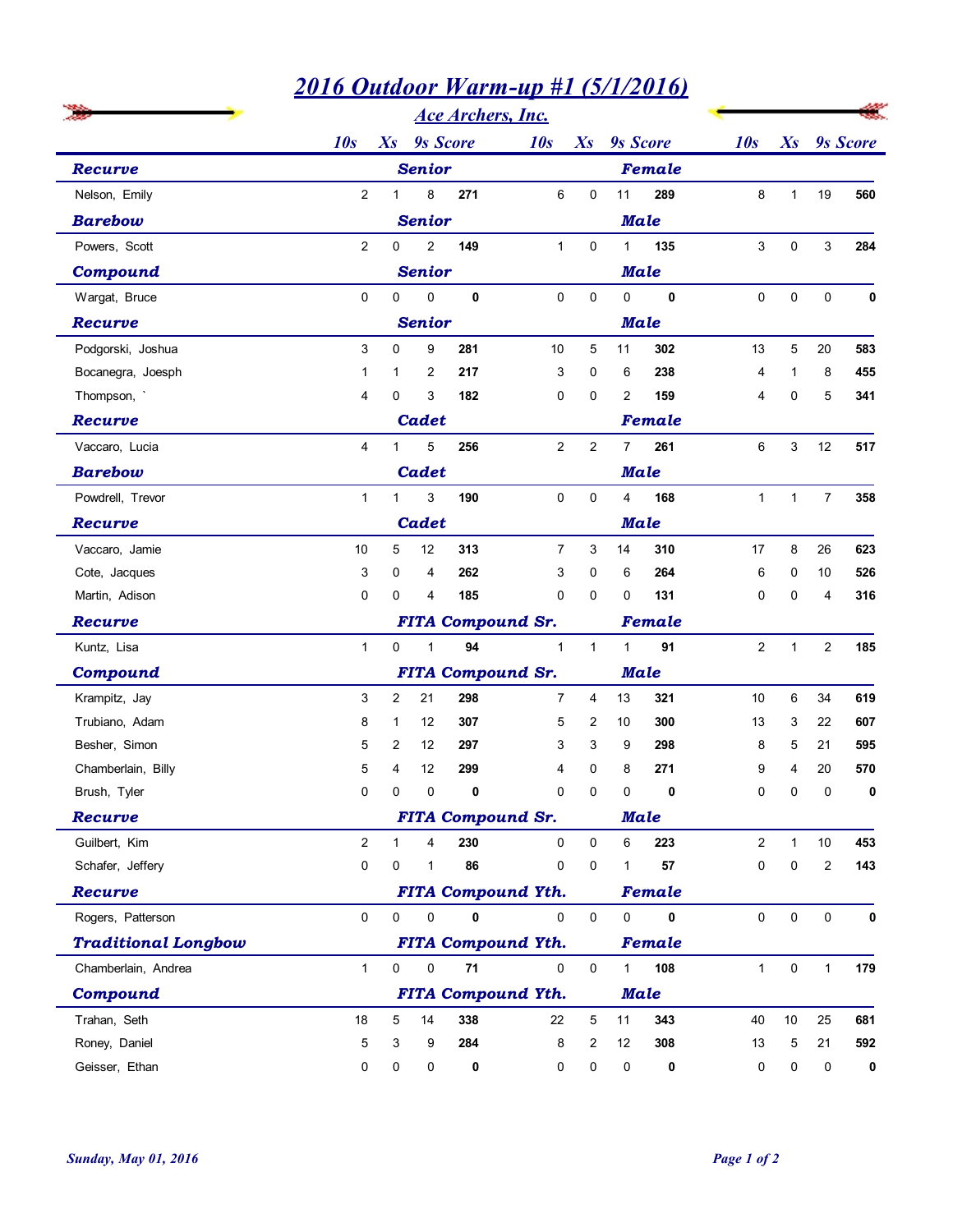|                            | <u>2016 Outdoor Warm-up #1 (5/1/2016)</u> |                                         |                                  |             |                           |                     |                |             |                |                |                  |             |
|----------------------------|-------------------------------------------|-----------------------------------------|----------------------------------|-------------|---------------------------|---------------------|----------------|-------------|----------------|----------------|------------------|-------------|
|                            | 10s                                       | <b>Ace Archers, Inc.</b><br>Xs 9s Score | Xs 9s Score<br>10s               |             |                           |                     | 10s            |             | Xs 9s Score    |                |                  |             |
| Recurve                    |                                           |                                         | <b>Senior</b>                    |             |                           |                     |                | Female      |                |                |                  |             |
| Nelson, Emily              |                                           | $\mathbf{1}$                            | 8                                | 271         | 6                         |                     | 11             | 289         | 8              |                | 19               | 560         |
|                            | $\overline{2}$                            |                                         |                                  |             |                           | 0                   |                |             |                | $\mathbf{1}$   |                  |             |
| <b>Barebow</b>             |                                           |                                         | <b>Senior</b>                    |             |                           |                     |                | <b>Male</b> |                |                |                  |             |
| Powers, Scott              | $\overline{2}$                            | 0                                       | $\overline{2}$                   | 149         | $\mathbf{1}$              | $\mathbf 0$         | $\mathbf{1}$   | 135         | 3              | $\mathbf 0$    | 3                | 284         |
| Compound                   |                                           |                                         | <b>Senior</b>                    |             |                           |                     |                | <b>Male</b> |                |                |                  |             |
| Wargat, Bruce              | 0                                         | 0                                       | 0                                | $\pmb{0}$   | 0                         | 0                   | 0              | $\mathbf 0$ | $\mathbf 0$    | 0              | 0                | $\mathbf 0$ |
| Recurve                    |                                           |                                         | <b>Senior</b>                    |             |                           |                     |                | <b>Male</b> |                |                |                  |             |
| Podgorski, Joshua          | 3                                         | 0                                       | 9                                | 281         | 10                        | 5                   | 11             | 302         | 13             | 5              | 20               | 583         |
| Bocanegra, Joesph          | 1                                         | 1                                       | 2                                | 217         | 3                         | 0                   | 6              | 238         | 4              |                | 8                | 455         |
| Thompson,                  | 4                                         | 0                                       | 3                                | 182         | 0                         | $\mathsf 0$         | 2              | 159         | 4              | 0              | 5                | 341         |
| Recurve                    |                                           |                                         | <b>Cadet</b>                     |             |                           |                     |                | Female      |                |                |                  |             |
| Vaccaro, Lucia             | 4                                         | $\mathbf{1}$                            | 5                                | 256         | $\overline{2}$            | $\overline{2}$      | $\overline{7}$ | 261         | 6              | 3              | 12               | 517         |
| <b>Barebow</b>             |                                           |                                         | <b>Cadet</b>                     |             |                           |                     |                | <b>Male</b> |                |                |                  |             |
| Powdrell, Trevor           | $\mathbf{1}$                              | $\mathbf{1}$                            | 3                                | 190         | $\mathbf 0$               | $\mathbf 0$         | $\overline{4}$ | 168         | $\mathbf{1}$   | $\mathbf{1}$   | $\overline{7}$   | 358         |
| Recurve                    |                                           |                                         | <b>Cadet</b>                     |             |                           |                     |                | Male        |                |                |                  |             |
| Vaccaro, Jamie             | 10                                        |                                         | 12<br>5 <sup>5</sup>             | 313         | $\overline{7}$            | 3                   | 14             | 310         | 17             | 8              | 26               | 623         |
| Cote, Jacques              | 3 <sup>1</sup>                            | $\overline{0}$                          | $\overline{4}$                   | 262         | 3 <sup>7</sup>            | $\mathbf{0}$        | 6              | 264         | 6              | $\overline{0}$ | 10               | 526         |
| Martin, Adison             | 0                                         | $\Omega$                                | 4                                | 185         | 0                         | 0                   | 0              | 131         | $\mathbf 0$    | $\Omega$       | 4                | 316         |
| Recurve                    |                                           |                                         |                                  |             | <b>FITA Compound Sr.</b>  |                     |                | Female      |                |                |                  |             |
| Kuntz, Lisa                | $\mathbf{1}$                              |                                         | $\overline{0}$<br>$\overline{1}$ | 94          | $\mathbf{1}$              | $\mathbf{1}$        | $\mathbf{1}$   | 91          | $\overline{2}$ | $\mathbf{1}$   | $\overline{2}$   | 185         |
| Compound                   |                                           |                                         |                                  |             | <b>FITA Compound Sr.</b>  |                     |                | <b>Male</b> |                |                |                  |             |
| Krampitz, Jay              | 3                                         |                                         | 21<br>$2^{\circ}$                | 298         | $\overline{7}$            | 4                   | 13             | 321         | 10             | 6              | 34               | 619         |
| Trubiano, Adam             | 8                                         | $\mathbf{1}$                            | 12                               | 307         | 5                         | $\overline{2}$      | 10             | 300         | 13             | 3              | 22               | 607         |
| Besher, Simon              | 5                                         | $\overline{2}$                          | 12                               | 297         | 3                         | 3                   | 9              | 298         | 8              | 5              | 21               | 595         |
| Chamberlain, Billy         | 5                                         | 4                                       | 12                               | 299         | 4                         | 0                   | 8              | 271         | 9              | 4              | $20\,$           | 570         |
| Brush, Tyler               | 0                                         | 0                                       | $\mathbf 0$                      | 0           | 0                         | 0                   | $\pmb{0}$      | $\mathbf 0$ | $\mathbf 0$    | 0              | $\mathsf 0$      | $\mathbf 0$ |
| Recurve                    |                                           |                                         |                                  |             | <b>FITA Compound Sr.</b>  |                     |                | Male        |                |                |                  |             |
| Guilbert, Kim              | $\overline{a}$                            | $\mathbf{1}$                            | 4                                | 230         | $\mathsf{O}$              | $\mathsf{O}\xspace$ | 6              | 223         | $\overline{c}$ | $\mathbf{1}$   | $10$             | 453         |
| Schafer, Jeffery           | 0                                         | 0                                       | $\overline{1}$                   | 86          | 0                         | 0                   | 1              | 57          | 0              | 0              | $\boldsymbol{2}$ | 143         |
| Recurve                    |                                           |                                         |                                  |             | <b>FITA Compound Yth.</b> |                     |                | Female      |                |                |                  |             |
| Rogers, Patterson          | $\mathbf 0$                               | $\mathbf 0$                             | $\mathbf 0$                      | $\mathbf 0$ | 0                         | $\mathsf{O}\xspace$ | $\mathsf 0$    | $\mathbf 0$ | $\mathbf 0$    | $\mathbf 0$    | $\mathsf 0$      | $\mathbf 0$ |
| <b>Traditional Longbow</b> |                                           |                                         |                                  |             | <b>FITA Compound Yth.</b> |                     |                | Female      |                |                |                  |             |
| Chamberlain, Andrea        | $\mathbf{1}$                              | $\mathbf 0$                             | $\mathbf 0$                      | 71          | 0                         | 0                   | $\mathbf{1}$   | 108         | $\mathbf{1}$   | 0              | $\mathbf{1}$     | 179         |
| Compound                   |                                           |                                         |                                  |             | <b>FITA Compound Yth.</b> |                     |                | <b>Male</b> |                |                |                  |             |
| Trahan, Seth               | $18$                                      | $\overline{5}$                          | 14                               | 338         | 22                        | $\sqrt{5}$          | 11             | 343         | 40             | 10             | 25               | 681         |
| Roney, Daniel              | $\mathbf 5$                               | 3                                       | 9                                | 284         | 8                         | $\overline{2}$      | 12             | 308         | 13             | 5              | 21               | 592         |
| Geisser, Ethan             | 0                                         | 0                                       | 0                                | 0           | 0                         | $\pmb{0}$           | $\pmb{0}$      | 0           | 0              | 0              | 0                | $\mathbf 0$ |